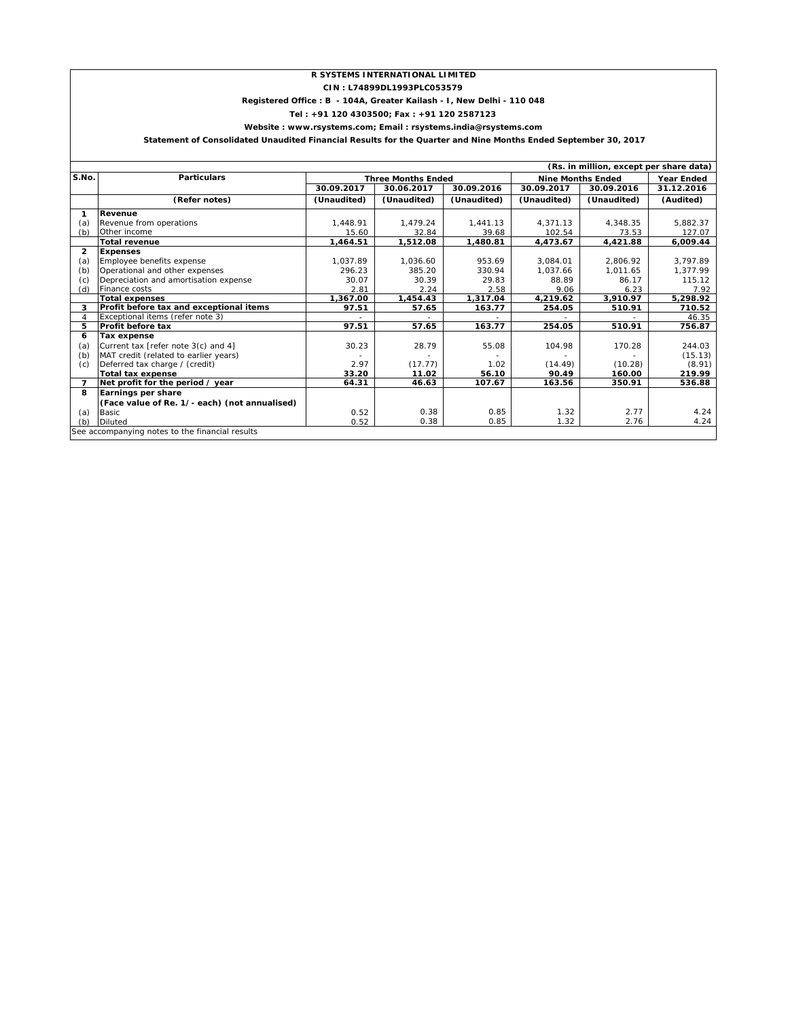### **R SYSTEMS INTERNATIONAL LIMITED**

### **CIN : L74899DL1993PLC053579**

### **Registered Office : B - 104A, Greater Kailash - I, New Delhi - 110 048**

**Tel : +91 120 4303500; Fax : +91 120 2587123**

**Website : www.rsystems.com; Email : rsystems.india@rsystems.com**

 **Statement of Consolidated Unaudited Financial Results for the Quarter and Nine Months Ended September 30, 2017**

|                | (Rs. in million, except per share data)         |                           |             |             |                          |             |            |  |
|----------------|-------------------------------------------------|---------------------------|-------------|-------------|--------------------------|-------------|------------|--|
| S.No.          | <b>Particulars</b>                              | <b>Three Months Ended</b> |             |             | <b>Nine Months Ended</b> | Year Ended  |            |  |
|                |                                                 | 30.09.2017                | 30.06.2017  | 30.09.2016  | 30.09.2017               | 30.09.2016  | 31.12.2016 |  |
|                | (Refer notes)                                   | (Unaudited)               | (Unaudited) | (Unaudited) | (Unaudited)              | (Unaudited) | (Audited)  |  |
| 1              | Revenue                                         |                           |             |             |                          |             |            |  |
| (a)            | Revenue from operations                         | 1,448.91                  | 1.479.24    | 1,441.13    | 4.371.13                 | 4.348.35    | 5,882.37   |  |
| (b)            | Other income                                    | 15.60                     | 32.84       | 39.68       | 102.54                   | 73.53       | 127.07     |  |
|                | <b>Total revenue</b>                            | 1,464.51                  | 1,512.08    | 1,480.81    | 4,473.67                 | 4,421.88    | 6,009.44   |  |
| $\overline{2}$ | <b>Expenses</b>                                 |                           |             |             |                          |             |            |  |
| (a)            | Employee benefits expense                       | 1,037.89                  | 1,036.60    | 953.69      | 3,084.01                 | 2,806.92    | 3,797.89   |  |
| (b)            | Operational and other expenses                  | 296.23                    | 385.20      | 330.94      | 1.037.66                 | 1,011.65    | 1,377.99   |  |
| (c)            | Depreciation and amortisation expense           | 30.07                     | 30.39       | 29.83       | 88.89                    | 86.17       | 115.12     |  |
| (d)            | Finance costs                                   | 2.81                      | 2.24        | 2.58        | 9.06                     | 6.23        | 7.92       |  |
|                | <b>Total expenses</b>                           | 1,367.00                  | 1,454.43    | 1,317.04    | 4,219.62                 | 3,910.97    | 5.298.92   |  |
| 3              | Profit before tax and exceptional items         | 97.51                     | 57.65       | 163.77      | 254.05                   | 510.91      | 710.52     |  |
|                | Exceptional items (refer note 3)                |                           |             |             |                          |             | 46.35      |  |
| 5              | <b>Profit before tax</b>                        | 97.51                     | 57.65       | 163.77      | 254.05                   | 510.91      | 756.87     |  |
| 6              | Tax expense                                     |                           |             |             |                          |             |            |  |
| (a)            | Current tax [refer note 3(c) and 4]             | 30.23                     | 28.79       | 55.08       | 104.98                   | 170.28      | 244.03     |  |
| (b)            | MAT credit (related to earlier years)           |                           |             |             |                          |             | (15.13)    |  |
| (c)            | Deferred tax charge / (credit)                  | 2.97                      | (17.77)     | 1.02        | (14.49)                  | (10.28)     | (8.91)     |  |
|                | <b>Total tax expense</b>                        | 33.20                     | 11.02       | 56.10       | 90.49                    | 160.00      | 219.99     |  |
| $\overline{7}$ | Net profit for the period / year                | 64.31                     | 46.63       | 107.67      | 163.56                   | 350.91      | 536.88     |  |
| 8              | Earnings per share                              |                           |             |             |                          |             |            |  |
|                | (Face value of Re. 1/- each) (not annualised)   |                           |             |             |                          |             |            |  |
| (a)            | Basic                                           | 0.52                      | 0.38        | 0.85        | 1.32                     | 2.77        | 4.24       |  |
| (b)            | <b>Diluted</b>                                  | 0.52                      | 0.38        | 0.85        | 1.32                     | 2.76        | 4.24       |  |
|                | See accompanying notes to the financial results |                           |             |             |                          |             |            |  |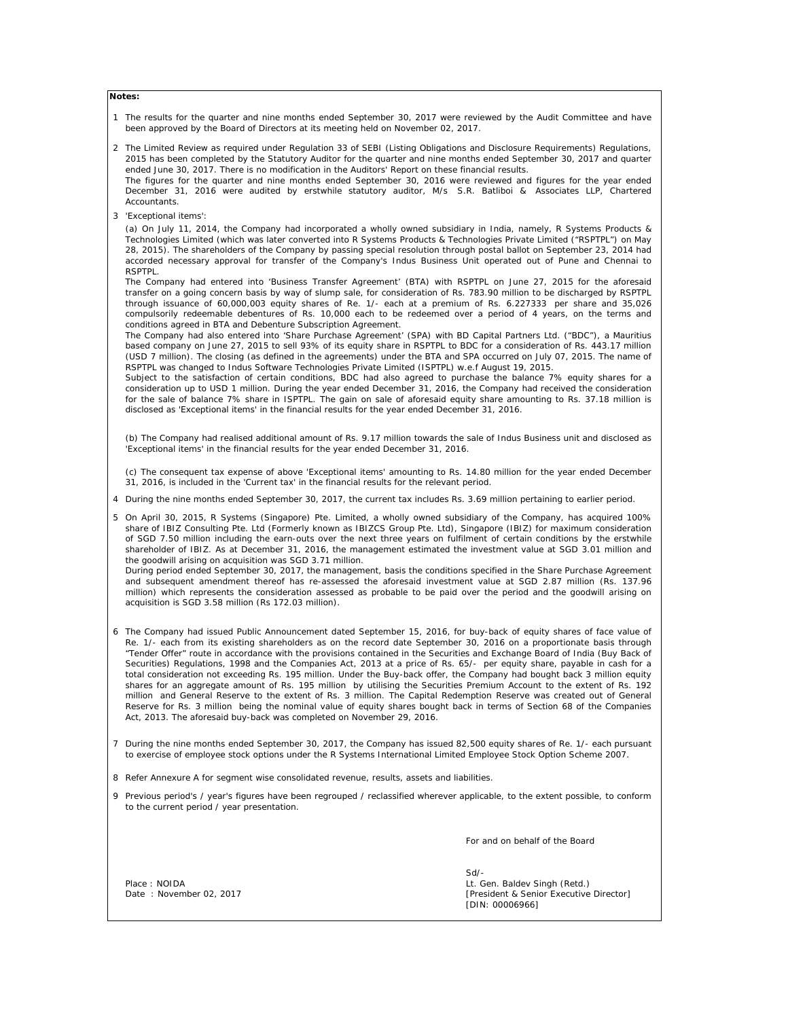#### **Notes:**

- 1 The results for the quarter and nine months ended September 30, 2017 were reviewed by the Audit Committee and have been approved by the Board of Directors at its meeting held on November 02, 2017.
- 2 The Limited Review as required under Regulation 33 of SEBI (Listing Obligations and Disclosure Requirements) Regulations, 2015 has been completed by the Statutory Auditor for the quarter and nine months ended September 30, 2017 and quarter ended June 30, 2017. There is no modification in the Auditors' Report on these financial results.
- The figures for the quarter and nine months ended September 30, 2016 were reviewed and figures for the year ended December 31, 2016 were audited by erstwhile statutory auditor, M/s S.R. Batliboi & Associates LLP, Chartered Accountants.
- 3 'Exceptional items':

(a) On July 11, 2014, the Company had incorporated a wholly owned subsidiary in India, namely, R Systems Products & Technologies Limited (which was later converted into R Systems Products & Technologies Private Limited ("RSPTPL") on May 28, 2015). The shareholders of the Company by passing special resolution through postal ballot on September 23, 2014 had accorded necessary approval for transfer of the Company's Indus Business Unit operated out of Pune and Chennai to RSPTPL.

The Company had entered into 'Business Transfer Agreement' (BTA) with RSPTPL on June 27, 2015 for the aforesaid transfer on a going concern basis by way of slump sale, for consideration of Rs. 783.90 million to be discharged by RSPTPL through issuance of 60,000,003 equity shares of Re. 1/- each at a premium of Rs. 6.227333 per share and 35,026 compulsorily redeemable debentures of Rs. 10,000 each to be redeemed over a period of 4 years, on the terms and conditions agreed in BTA and Debenture Subscription Agreement.

The Company had also entered into 'Share Purchase Agreement' (SPA) with BD Capital Partners Ltd. ("BDC"), a Mauritius based company on June 27, 2015 to sell 93% of its equity share in RSPTPL to BDC for a consideration of Rs. 443.17 million (USD 7 million). The closing (as defined in the agreements) under the BTA and SPA occurred on July 07, 2015. The name of RSPTPL was changed to Indus Software Technologies Private Limited (ISPTPL) w.e.f August 19, 2015.

Subject to the satisfaction of certain conditions, BDC had also agreed to purchase the balance 7% equity shares for a consideration up to USD 1 million. During the year ended December 31, 2016, the Company had received the consideration for the sale of balance 7% share in ISPTPL. The gain on sale of aforesaid equity share amounting to Rs. 37.18 million is disclosed as 'Exceptional items' in the financial results for the year ended December 31, 2016.

(b) The Company had realised additional amount of Rs. 9.17 million towards the sale of Indus Business unit and disclosed as 'Exceptional items' in the financial results for the year ended December 31, 2016.

(c) The consequent tax expense of above 'Exceptional items' amounting to Rs. 14.80 million for the year ended December 31, 2016, is included in the 'Current tax' in the financial results for the relevant period.

4 During the nine months ended September 30, 2017, the current tax includes Rs. 3.69 million pertaining to earlier period.

5 On April 30, 2015, R Systems (Singapore) Pte. Limited, a wholly owned subsidiary of the Company, has acquired 100% share of IBIZ Consulting Pte. Ltd (Formerly known as IBIZCS Group Pte. Ltd), Singapore (IBIZ) for maximum consideration of SGD 7.50 million including the earn-outs over the next three years on fulfilment of certain conditions by the erstwhile shareholder of IBIZ. As at December 31, 2016, the management estimated the investment value at SGD 3.01 million and the goodwill arising on acquisition was SGD 3.71 million.

During period ended September 30, 2017, the management, basis the conditions specified in the Share Purchase Agreement and subsequent amendment thereof has re-assessed the aforesaid investment value at SGD 2.87 million (Rs. 137.96 million) which represents the consideration assessed as probable to be paid over the period and the goodwill arising on acquisition is SGD 3.58 million (Rs 172.03 million).

- 6 The Company had issued Public Announcement dated September 15, 2016, for buy-back of equity shares of face value of Re. 1/- each from its existing shareholders as on the record date September 30, 2016 on a proportionate basis through "Tender Offer" route in accordance with the provisions contained in the Securities and Exchange Board of India (Buy Back of Securities) Regulations, 1998 and the Companies Act, 2013 at a price of Rs. 65/- per equity share, payable in cash for a total consideration not exceeding Rs. 195 million. Under the Buy-back offer, the Company had bought back 3 million equity shares for an aggregate amount of Rs. 195 million by utilising the Securities Premium Account to the extent of Rs. 192 million and General Reserve to the extent of Rs. 3 million. The Capital Redemption Reserve was created out of General Reserve for Rs. 3 million being the nominal value of equity shares bought back in terms of Section 68 of the Companies Act, 2013. The aforesaid buy-back was completed on November 29, 2016.
- 7 During the nine months ended September 30, 2017, the Company has issued 82,500 equity shares of Re. 1/- each pursuant to exercise of employee stock options under the R Systems International Limited Employee Stock Option Scheme 2007.
- 8 Refer Annexure A for segment wise consolidated revenue, results, assets and liabilities.
- 9 Previous period's / year's figures have been regrouped / reclassified wherever applicable, to the extent possible, to conform to the current period / year presentation.

For and on behalf of the Board

Sd/- Place : NOIDA **Discrete Singh (Retd.)** Lt. Gen. Baldev Singh (Retd.) Date : November 02, 2017 **Date : November 02, 2017 [President & Senior Executive Director]** [DIN: 00006966]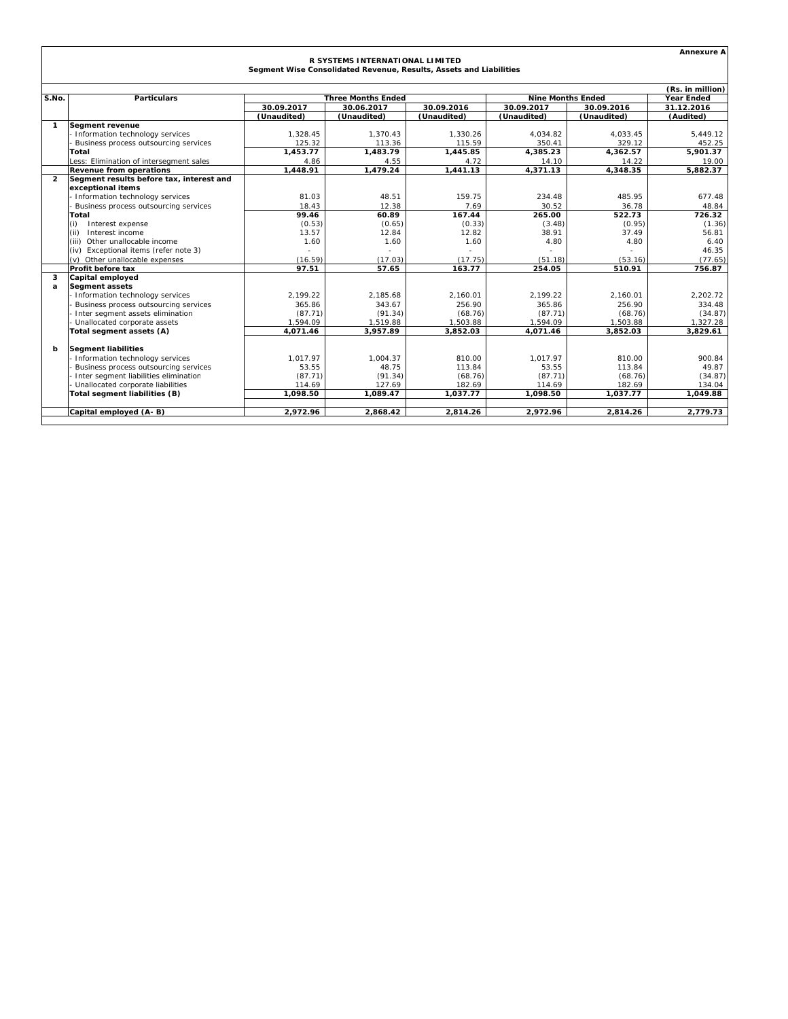|                                                                                                       |                                          |             |                           |             |                          |             | <b>Annexure A</b> |  |
|-------------------------------------------------------------------------------------------------------|------------------------------------------|-------------|---------------------------|-------------|--------------------------|-------------|-------------------|--|
| R SYSTEMS INTERNATIONAL LIMITED<br>Segment Wise Consolidated Revenue, Results, Assets and Liabilities |                                          |             |                           |             |                          |             |                   |  |
|                                                                                                       |                                          |             |                           |             |                          |             |                   |  |
| (Rs. in million)                                                                                      |                                          |             |                           |             |                          |             |                   |  |
| S.No.                                                                                                 | <b>Particulars</b>                       |             | <b>Three Months Ended</b> |             | <b>Nine Months Ended</b> |             | <b>Year Ended</b> |  |
|                                                                                                       |                                          | 30.09.2017  | 30.06.2017                | 30.09.2016  | 30.09.2017               | 30.09.2016  | 31.12.2016        |  |
|                                                                                                       |                                          | (Unaudited) | (Unaudited)               | (Unaudited) | (Unaudited)              | (Unaudited) | (Audited)         |  |
| $\mathbf{1}$                                                                                          | Segment revenue                          |             |                           |             |                          |             |                   |  |
|                                                                                                       | - Information technology services        | 1,328.45    | 1,370.43                  | 1,330.26    | 4,034.82                 | 4.033.45    | 5,449.12          |  |
|                                                                                                       | Business process outsourcing services    | 125.32      | 113.36                    | 115.59      | 350.41                   | 329.12      | 452.25            |  |
|                                                                                                       | Total                                    | 1.453.77    | 1.483.79                  | 1.445.85    | 4.385.23                 | 4.362.57    | 5.901.37          |  |
|                                                                                                       | Less: Elimination of intersegment sales  | 4.86        | 4.55                      | 4.72        | 14.10                    | 14.22       | 19.00             |  |
|                                                                                                       | <b>Revenue from operations</b>           | 1.448.91    | 1.479.24                  | 1.441.13    | 4.371.13                 | 4,348.35    | 5.882.37          |  |
| $\overline{2}$                                                                                        | Segment results before tax, interest and |             |                           |             |                          |             |                   |  |
|                                                                                                       | exceptional items                        |             |                           |             |                          |             |                   |  |
|                                                                                                       | - Information technology services        | 81.03       | 48.51                     | 159.75      | 234.48                   | 485.95      | 677.48            |  |
|                                                                                                       | Business process outsourcing services    | 18.43       | 12.38                     | 7.69        | 30.52                    | 36.78       | 48.84             |  |
|                                                                                                       | Total                                    | 99.46       | 60.89                     | 167.44      | 265.00                   | 522.73      | 726.32            |  |
|                                                                                                       | (i)<br>Interest expense                  | (0.53)      | (0.65)                    | (0.33)      | (3.48)                   | (0.95)      | (1.36)            |  |
|                                                                                                       | Interest income<br>(ii)                  | 13.57       | 12.84                     | 12.82       | 38.91                    | 37.49       | 56.81             |  |
|                                                                                                       | Other unallocable income<br>(iii)        | 1.60        | 1.60                      | 1.60        | 4.80                     | 4.80        | 6.40              |  |
|                                                                                                       | Exceptional items (refer note 3)<br>(iv) |             |                           |             |                          |             | 46.35             |  |
|                                                                                                       | (v) Other unallocable expenses           | (16.59)     | (17.03)                   | (17.75)     | (51.18)                  | (53.16)     | (77.65)           |  |
|                                                                                                       | Profit before tax                        | 97.51       | 57.65                     | 163.77      | 254.05                   | 510.91      | 756.87            |  |
| 3                                                                                                     | Capital employed                         |             |                           |             |                          |             |                   |  |
| a                                                                                                     | <b>Segment assets</b>                    |             |                           |             |                          |             |                   |  |
|                                                                                                       | - Information technology services        | 2.199.22    | 2.185.68                  | 2.160.01    | 2.199.22                 | 2.160.01    | 2.202.72          |  |
|                                                                                                       | Business process outsourcing services    | 365.86      | 343.67                    | 256.90      | 365.86                   | 256.90      | 334.48            |  |
|                                                                                                       | Inter segment assets elimination         | (87.71)     | (91.34)                   | (68.76)     | (87.71)                  | (68.76)     | (34.87)           |  |
|                                                                                                       | - Unallocated corporate assets           | 1.594.09    | 1.519.88                  | 1.503.88    | 1.594.09                 | 1.503.88    | 1,327.28          |  |
|                                                                                                       | Total segment assets (A)                 | 4.071.46    | 3.957.89                  | 3.852.03    | 4.071.46                 | 3.852.03    | 3.829.61          |  |
| b                                                                                                     | <b>Segment liabilities</b>               |             |                           |             |                          |             |                   |  |
|                                                                                                       | - Information technology services        | 1.017.97    | 1.004.37                  | 810.00      | 1.017.97                 | 810.00      | 900.84            |  |
|                                                                                                       | Business process outsourcing services    | 53.55       | 48.75                     | 113.84      | 53.55                    | 113.84      | 49.87             |  |
|                                                                                                       | Inter segment liabilities elimination    | (87.71)     | (91.34)                   | (68.76)     | (87.71)                  | (68.76)     | (34.87)           |  |
|                                                                                                       | Unallocated corporate liabilities        | 114.69      | 127.69                    | 182.69      | 114.69                   | 182.69      | 134.04            |  |
|                                                                                                       | Total segment liabilities (B)            | 1.098.50    | 1.089.47                  | 1.037.77    | 1.098.50                 | 1.037.77    | 1.049.88          |  |
|                                                                                                       |                                          |             |                           |             |                          |             |                   |  |
|                                                                                                       | Capital employed (A-B)                   | 2.972.96    | 2.868.42                  | 2.814.26    | 2.972.96                 | 2.814.26    | 2.779.73          |  |
|                                                                                                       |                                          |             |                           |             |                          |             |                   |  |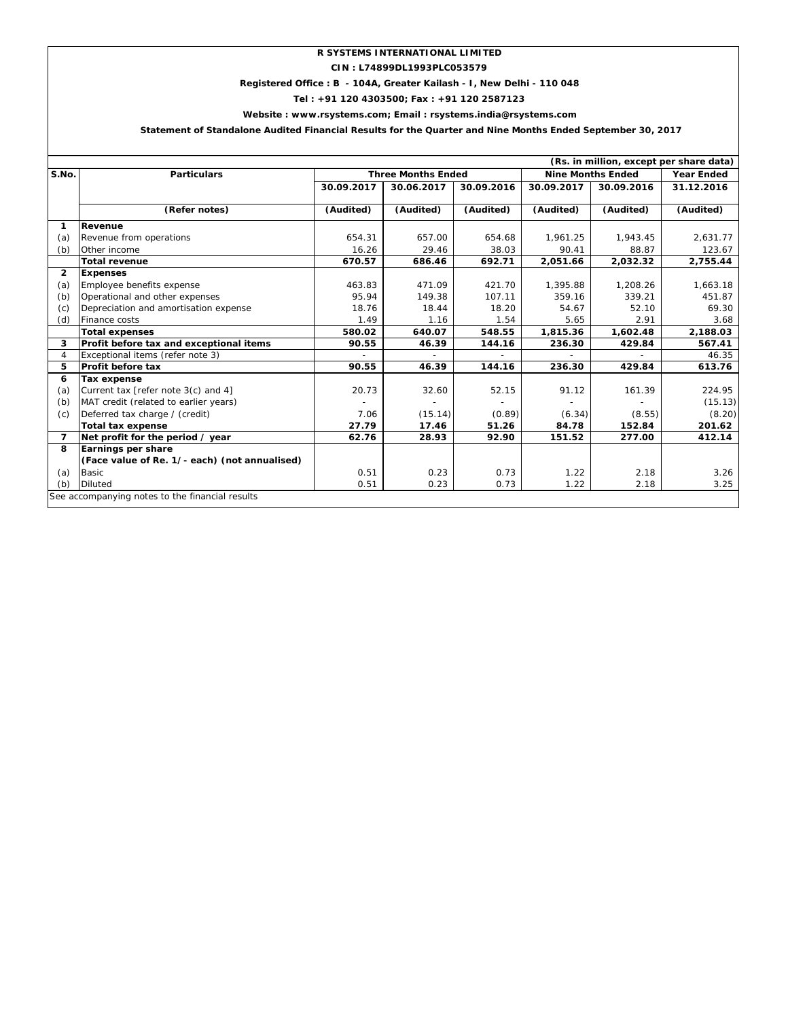# **R SYSTEMS INTERNATIONAL LIMITED**

**CIN : L74899DL1993PLC053579**

# **Registered Office : B - 104A, Greater Kailash - I, New Delhi - 110 048**

**Tel : +91 120 4303500; Fax : +91 120 2587123**

## **Website : www.rsystems.com; Email : rsystems.india@rsystems.com**

# **Statement of Standalone Audited Financial Results for the Quarter and Nine Months Ended September 30, 2017**

| (Rs. in million, except per share data) |                                                 |                           |            |            |                          |                   |            |  |
|-----------------------------------------|-------------------------------------------------|---------------------------|------------|------------|--------------------------|-------------------|------------|--|
| S.No.                                   | <b>Particulars</b>                              | <b>Three Months Ended</b> |            |            | <b>Nine Months Ended</b> | <b>Year Ended</b> |            |  |
|                                         |                                                 | 30.09.2017                | 30.06.2017 | 30.09.2016 | 30.09.2017               | 30.09.2016        | 31.12.2016 |  |
|                                         | (Refer notes)                                   | (Audited)                 | (Audited)  | (Audited)  | (Audited)                | (Audited)         | (Audited)  |  |
| 1                                       | Revenue                                         |                           |            |            |                          |                   |            |  |
| (a)                                     | Revenue from operations                         | 654.31                    | 657.00     | 654.68     | 1.961.25                 | 1,943.45          | 2,631.77   |  |
| (b)                                     | Other income                                    | 16.26                     | 29.46      | 38.03      | 90.41                    | 88.87             | 123.67     |  |
|                                         | <b>Total revenue</b>                            | 670.57                    | 686.46     | 692.71     | 2,051.66                 | 2,032.32          | 2,755.44   |  |
| $\overline{2}$                          | <b>Expenses</b>                                 |                           |            |            |                          |                   |            |  |
| (a)                                     | Employee benefits expense                       | 463.83                    | 471.09     | 421.70     | 1,395.88                 | 1,208.26          | 1,663.18   |  |
| (b)                                     | Operational and other expenses                  | 95.94                     | 149.38     | 107.11     | 359.16                   | 339.21            | 451.87     |  |
| (c)                                     | Depreciation and amortisation expense           | 18.76                     | 18.44      | 18.20      | 54.67                    | 52.10             | 69.30      |  |
| (d)                                     | Finance costs                                   | 1.49                      | 1.16       | 1.54       | 5.65                     | 2.91              | 3.68       |  |
|                                         | <b>Total expenses</b>                           | 580.02                    | 640.07     | 548.55     | 1,815.36                 | 1,602.48          | 2,188.03   |  |
| 3                                       | Profit before tax and exceptional items         | 90.55                     | 46.39      | 144.16     | 236.30                   | 429.84            | 567.41     |  |
| $\overline{4}$                          | Exceptional items (refer note 3)                |                           |            |            |                          |                   | 46.35      |  |
| 5                                       | <b>Profit before tax</b>                        | 90.55                     | 46.39      | 144.16     | 236.30                   | 429.84            | 613.76     |  |
| 6                                       | <b>Tax expense</b>                              |                           |            |            |                          |                   |            |  |
| (a)                                     | Current tax [refer note 3(c) and 4]             | 20.73                     | 32.60      | 52.15      | 91.12                    | 161.39            | 224.95     |  |
| (b)                                     | MAT credit (related to earlier years)           |                           |            |            |                          |                   | (15.13)    |  |
| (c)                                     | Deferred tax charge / (credit)                  | 7.06                      | (15.14)    | (0.89)     | (6.34)                   | (8.55)            | (8.20)     |  |
|                                         | <b>Total tax expense</b>                        | 27.79                     | 17.46      | 51.26      | 84.78                    | 152.84            | 201.62     |  |
| 7                                       | Net profit for the period / year                | 62.76                     | 28.93      | 92.90      | 151.52                   | 277.00            | 412.14     |  |
| 8                                       | Earnings per share                              |                           |            |            |                          |                   |            |  |
|                                         | (Face value of Re. 1/- each) (not annualised)   |                           |            |            |                          |                   |            |  |
| (a)                                     | <b>Basic</b>                                    | 0.51                      | 0.23       | 0.73       | 1.22                     | 2.18              | 3.26       |  |
| (b)                                     | <b>Diluted</b>                                  | 0.51                      | 0.23       | 0.73       | 1.22                     | 2.18              | 3.25       |  |
|                                         | See accompanying notes to the financial results |                           |            |            |                          |                   |            |  |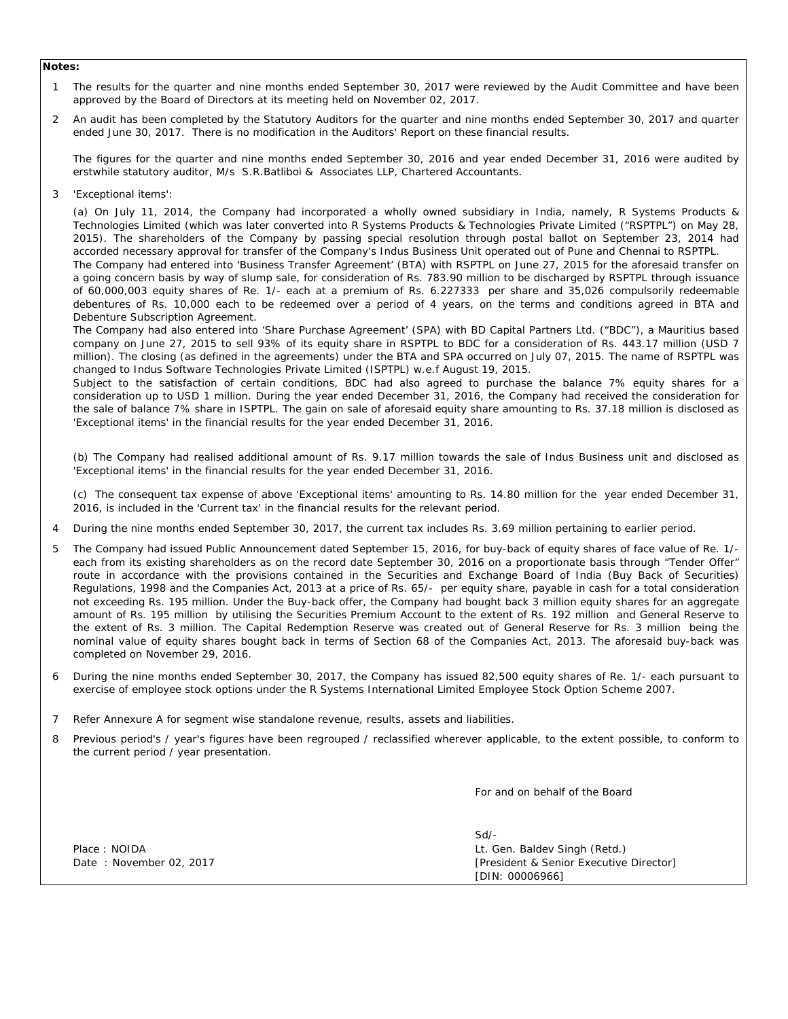### **Notes:**

1 The results for the quarter and nine months ended September 30, 2017 were reviewed by the Audit Committee and have been approved by the Board of Directors at its meeting held on November 02, 2017.

2 An audit has been completed by the Statutory Auditors for the quarter and nine months ended September 30, 2017 and quarter ended June 30, 2017. There is no modification in the Auditors' Report on these financial results.

The figures for the quarter and nine months ended September 30, 2016 and year ended December 31, 2016 were audited by erstwhile statutory auditor, M/s S.R.Batliboi & Associates LLP, Chartered Accountants.

3 'Exceptional items':

> (a) On July 11, 2014, the Company had incorporated a wholly owned subsidiary in India, namely, R Systems Products & Technologies Limited (which was later converted into R Systems Products & Technologies Private Limited ("RSPTPL") on May 28, 2015). The shareholders of the Company by passing special resolution through postal ballot on September 23, 2014 had accorded necessary approval for transfer of the Company's Indus Business Unit operated out of Pune and Chennai to RSPTPL. The Company had entered into 'Business Transfer Agreement' (BTA) with RSPTPL on June 27, 2015 for the aforesaid transfer on a going concern basis by way of slump sale, for consideration of Rs. 783.90 million to be discharged by RSPTPL through issuance of 60,000,003 equity shares of Re. 1/- each at a premium of Rs. 6.227333 per share and 35,026 compulsorily redeemable debentures of Rs. 10,000 each to be redeemed over a period of 4 years, on the terms and conditions agreed in BTA and Debenture Subscription Agreement.

> The Company had also entered into 'Share Purchase Agreement' (SPA) with BD Capital Partners Ltd. ("BDC"), a Mauritius based company on June 27, 2015 to sell 93% of its equity share in RSPTPL to BDC for a consideration of Rs. 443.17 million (USD 7 million). The closing (as defined in the agreements) under the BTA and SPA occurred on July 07, 2015. The name of RSPTPL was changed to Indus Software Technologies Private Limited (ISPTPL) w.e.f August 19, 2015.

> Subject to the satisfaction of certain conditions, BDC had also agreed to purchase the balance 7% equity shares for a consideration up to USD 1 million. During the year ended December 31, 2016, the Company had received the consideration for the sale of balance 7% share in ISPTPL. The gain on sale of aforesaid equity share amounting to Rs. 37.18 million is disclosed as 'Exceptional items' in the financial results for the year ended December 31, 2016.

> (b) The Company had realised additional amount of Rs. 9.17 million towards the sale of Indus Business unit and disclosed as 'Exceptional items' in the financial results for the year ended December 31, 2016.

> (c) The consequent tax expense of above 'Exceptional items' amounting to Rs. 14.80 million for the year ended December 31, 2016, is included in the 'Current tax' in the financial results for the relevant period.

- 4 During the nine months ended September 30, 2017, the current tax includes Rs. 3.69 million pertaining to earlier period.
- 5 The Company had issued Public Announcement dated September 15, 2016, for buy-back of equity shares of face value of Re. 1/ each from its existing shareholders as on the record date September 30, 2016 on a proportionate basis through "Tender Offer" route in accordance with the provisions contained in the Securities and Exchange Board of India (Buy Back of Securities) Regulations, 1998 and the Companies Act, 2013 at a price of Rs. 65/- per equity share, payable in cash for a total consideration not exceeding Rs. 195 million. Under the Buy-back offer, the Company had bought back 3 million equity shares for an aggregate amount of Rs. 195 million by utilising the Securities Premium Account to the extent of Rs. 192 million and General Reserve to the extent of Rs. 3 million. The Capital Redemption Reserve was created out of General Reserve for Rs. 3 million being the nominal value of equity shares bought back in terms of Section 68 of the Companies Act, 2013. The aforesaid buy-back was completed on November 29, 2016.
- 6 During the nine months ended September 30, 2017, the Company has issued 82,500 equity shares of Re. 1/- each pursuant to exercise of employee stock options under the R Systems International Limited Employee Stock Option Scheme 2007.
- 7 Refer Annexure A for segment wise standalone revenue, results, assets and liabilities.
- 8 Previous period's / year's figures have been regrouped / reclassified wherever applicable, to the extent possible, to conform to the current period / year presentation.

For and on behalf of the Board

Sd/- Place : NOIDA Date: November 02, 2017 Lt. Gen. Baldev Singh (Retd.) [President & Senior Executive Director] [DIN: 00006966]